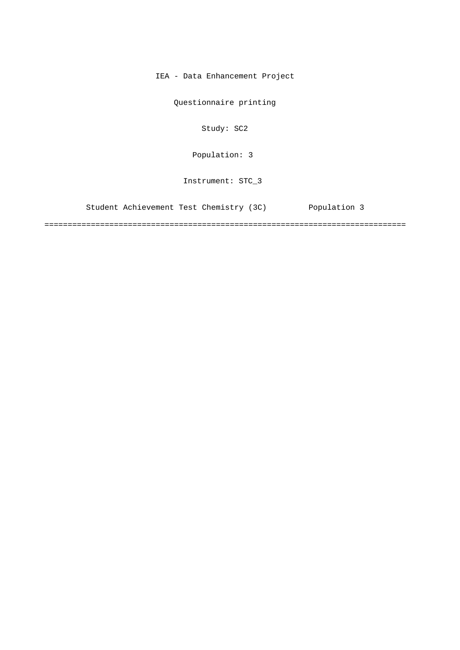IEA - Data Enhancement Project

Questionnaire printing

Study: SC2

[Population: 3](#page-2-0) 

Instrument: STC\_3

[Student Achievement Test Chemistry \(3C\) Population 3](#page-2-0)

==============================================================================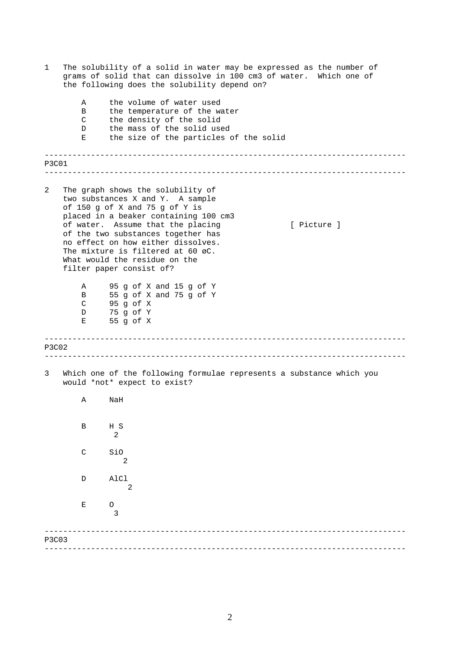| 1            |                       | The solubility of a solid in water may be expressed as the number of<br>grams of solid that can dissolve in 100 cm3 of water. Which one of<br>the following does the solubility depend on?                                                                                                                                                                                         |
|--------------|-----------------------|------------------------------------------------------------------------------------------------------------------------------------------------------------------------------------------------------------------------------------------------------------------------------------------------------------------------------------------------------------------------------------|
|              | Α<br>B<br>C<br>D<br>Е | the volume of water used<br>the temperature of the water<br>the density of the solid<br>the mass of the solid used<br>the size of the particles of the solid                                                                                                                                                                                                                       |
| P3C01        |                       |                                                                                                                                                                                                                                                                                                                                                                                    |
| 2            |                       | The graph shows the solubility of<br>two substances X and Y. A sample<br>of 150 g of X and 75 g of Y is<br>placed in a beaker containing 100 cm3<br>of water. Assume that the placing<br>[ Picture ]<br>of the two substances together has<br>no effect on how either dissolves.<br>The mixture is filtered at 60 øC.<br>What would the residue on the<br>filter paper consist of? |
|              | Α<br>B<br>C<br>D<br>Е | 95 g of X and 15 g of Y<br>55 g of X and 75 g of Y<br>95 g of X<br>75 g of Y<br>55 g of X                                                                                                                                                                                                                                                                                          |
| <b>P3C02</b> |                       |                                                                                                                                                                                                                                                                                                                                                                                    |
| 3            |                       | Which one of the following formulae represents a substance which you<br>would *not* expect to exist?                                                                                                                                                                                                                                                                               |
|              | Α                     | NaH                                                                                                                                                                                                                                                                                                                                                                                |
|              | $\, {\bf B}$          | H S<br>$\mathbf{2}$                                                                                                                                                                                                                                                                                                                                                                |
|              | $\mathsf{C}$          | SiO<br>2                                                                                                                                                                                                                                                                                                                                                                           |
|              | D                     | AlCl<br>$\overline{2}$                                                                                                                                                                                                                                                                                                                                                             |
|              | Е                     | O<br>3                                                                                                                                                                                                                                                                                                                                                                             |
| <b>P3C03</b> |                       |                                                                                                                                                                                                                                                                                                                                                                                    |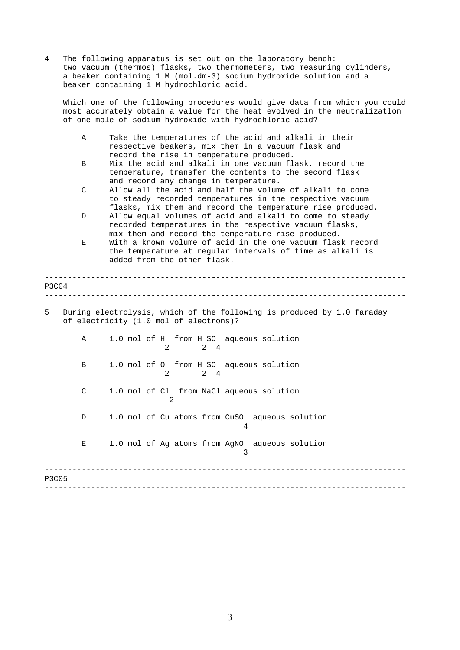<span id="page-2-0"></span>4 The following apparatus is set out on the laboratory bench: two vacuum (thermos) flasks, two thermometers, two measuring cylinders, a beaker containing 1 M (mol.dm-3) sodium hydroxide solution and a beaker containing 1 M hydrochloric acid.

Which one of the following procedures would give data from which you could most accurately obtain a value for the heat evolved in the neutralizatlon of one mole of sodium hydroxide with hydrochloric acid?

- A Take the temperatures of the acid and alkali in their respective beakers, mix them in a vacuum flask and record the rise in temperature produced.
- B Mix the acid and alkali in one vacuum flask, record the temperature, transfer the contents to the second flask and record any change in temperature.
- C Allow all the acid and half the volume of alkali to come to steady recorded temperatures in the respective vacuum flasks, mix them and record the temperature rise produced.
- D Allow equal volumes of acid and alkali to come to steady recorded temperatures in the respective vacuum flasks, mix them and record the temperature rise produced.
- E With a known volume of acid in the one vacuum flask record the temperature at regular intervals of time as alkali is added from the other flask.

| P3C04        |                                                                                                                  | _______________                                                            |  |  |  |  |
|--------------|------------------------------------------------------------------------------------------------------------------|----------------------------------------------------------------------------|--|--|--|--|
| 5            | During electrolysis, which of the following is produced by 1.0 faraday<br>of electricity (1.0 mol of electrons)? |                                                                            |  |  |  |  |
|              | $\mathbb A$                                                                                                      | 1.0 mol of H from H SO aqueous solution<br>$\frac{2}{4}$<br>$\mathfrak{D}$ |  |  |  |  |
|              | B                                                                                                                | 1.0 mol of 0 from H SO aqueous solution<br>2 4<br>$\mathcal{L}$            |  |  |  |  |
|              | C                                                                                                                | 1.0 mol of Cl from NaCl aqueous solution<br>2                              |  |  |  |  |
|              | D                                                                                                                | 1.0 mol of Cu atoms from CuSO aqueous solution<br>4                        |  |  |  |  |
|              | $\mathbf{E}$                                                                                                     | 1.0 mol of Ag atoms from AgNO aqueous solution<br>3                        |  |  |  |  |
| <b>P3C05</b> |                                                                                                                  |                                                                            |  |  |  |  |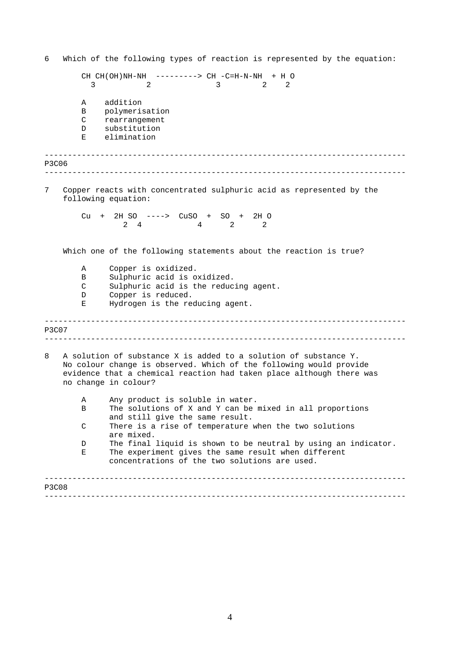------------------------------------------------------------------------------ ------------------------------------------------------------------------------ ------------------------------------------------------------------------------ ------------------------------------------------------------------------------ ------------------------------------------------------------------------------ ------------------------------------------------------------------------------ 6 Which of the following types of reaction is represented by the equation: CH CH(OH)NH-NH ---------> CH -C=H-N-NH + H O 3 2 3 2 2 A addition B polymerisation C rearrangement D substitution E elimination P3C06 7 Copper reacts with concentrated sulphuric acid as represented by the following equation: Cu + 2H SO ----> CuSO + SO + 2H O 2 4 2 2 2 Which one of the following statements about the reaction is true? A Copper is oxidized. B Sulphuric acid is oxidized. C Sulphuric acid is the reducing agent. D Copper is reduced. E Hydrogen is the reducing agent. P3C07 8 A solution of substance X is added to a solution of substance Y. No colour change is observed. Which of the following would provide evidence that a chemical reaction had taken place although there was no change in colour? A Any product is soluble in water. B The solutions of X and Y can be mixed in all proportions and still give the same result. C There is a rise of temperature when the two solutions are mixed. D The final liquid is shown to be neutral by using an indicator. E The experiment gives the same result when different concentrations of the two solutions are used. P3C08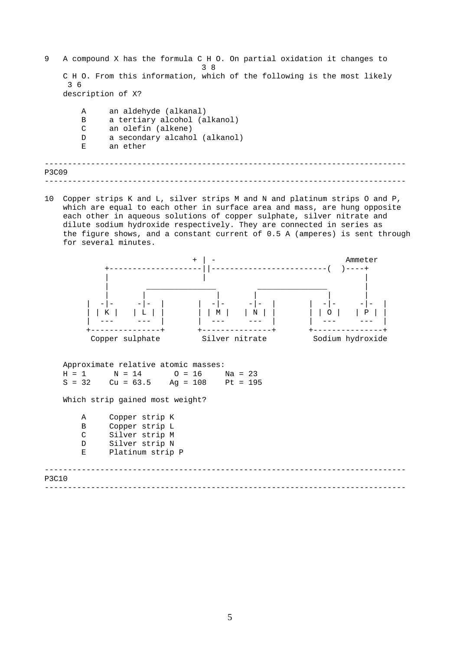------------------------------------------------------------------------------ ------------------------------------------------------------------------------ 9 A compound X has the formula C H O. On partial oxidation it changes to 3 8 C H O. From this information, which of the following is the most likely 3 6 description of X? A an aldehyde (alkanal) B a tertiary alcohol (alkanol) C an olefin (alkene) D a secondary alcahol (alkanol) E an ether P3C09

10 Copper strips K and L, silver strips M and N and platinum strips O and P, which are equal to each other in surface area and mass, are hung opposite each other in aqueous solutions of copper sulphate, silver nitrate and dilute sodium hydroxide respectively. They are connected in series as the figure shows, and a constant current of 0.5 A (amperes) is sent through for several minutes.

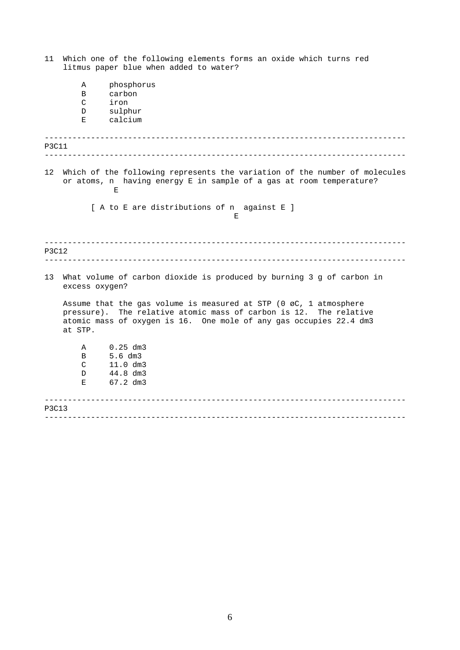| 11    |                | Which one of the following elements forms an oxide which turns red<br>litmus paper blue when added to water?                                                                                                              |
|-------|----------------|---------------------------------------------------------------------------------------------------------------------------------------------------------------------------------------------------------------------------|
|       | Α<br>B         | phosphorus<br>carbon                                                                                                                                                                                                      |
|       | C              | iron                                                                                                                                                                                                                      |
|       | D              | sulphur                                                                                                                                                                                                                   |
|       | Е              | calcium                                                                                                                                                                                                                   |
| P3C11 |                |                                                                                                                                                                                                                           |
| 12    |                | Which of the following represents the variation of the number of molecules<br>or atoms, n having energy E in sample of a gas at room temperature?<br>Е                                                                    |
|       |                | [ A to E are distributions of n against E ]<br>E.                                                                                                                                                                         |
| P3C12 |                |                                                                                                                                                                                                                           |
| 13    | excess oxygen? | What volume of carbon dioxide is produced by burning 3 g of carbon in                                                                                                                                                     |
|       | at STP.        | Assume that the gas volume is measured at STP (0 $\varnothing$ C, 1 atmosphere<br>pressure). The relative atomic mass of carbon is 12. The relative<br>atomic mass of oxygen is 16. One mole of any gas occupies 22.4 dm3 |
|       | Α              | $0.25$ dm3                                                                                                                                                                                                                |
|       | B              | $5.6$ dm $3$                                                                                                                                                                                                              |
|       | C              | $11.0 \, dm3$                                                                                                                                                                                                             |
|       | D.             | 44.8 dm3                                                                                                                                                                                                                  |
|       | Е              | 67.2 dm3                                                                                                                                                                                                                  |
| P3C13 |                |                                                                                                                                                                                                                           |
|       |                | ________________________________                                                                                                                                                                                          |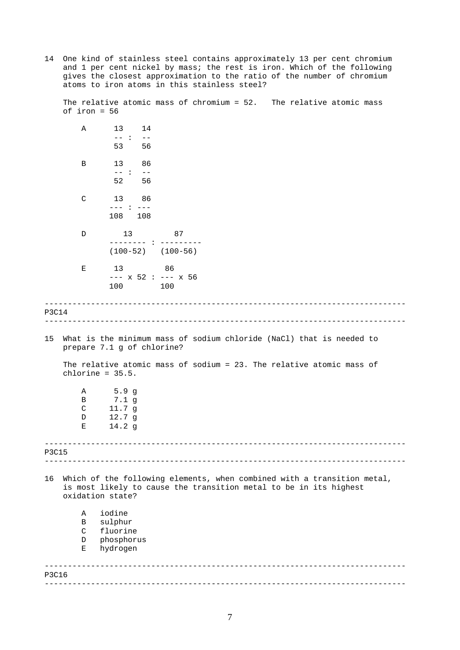14 One kind of stainless steel contains approximately 13 per cent chromium and 1 per cent nickel by mass; the rest is iron. Which of the following gives the closest approximation to the ratio of the number of chromium atoms to iron atoms in this stainless steel?

The relative atomic mass of chromium = 52. The relative atomic mass of iron = 56

------------------------------------------------------------------------------ ------------------------------------------------------------------------------ ------------------------------------------------------------------------------ ------------------------------------------------------------------------------ ------------------------------------------------------------------------------ ------------------------------------------------------------------------------ A 13 14 -- : -- 53 56 B 13 86  $- - : - -$ <br>52 56 56 C 13 86 --- : --- 108 108 D 13 87 -------- : --------- (100-52) (100-56) E 13 86 --- x 52 : --- x 56 100 100 P3C14 15 What is the minimum mass of sodium chloride (NaCl) that is needed to prepare 7.1 g of chlorine? The relative atomic mass of sodium = 23. The relative atomic mass of chlorine = 35.5. A 5.9 g B 7.1 g C 11.7 g D 12.7 g E 14.2 g P3C15 16 Which of the following elements, when combined with a transition metal, is most likely to cause the transition metal to be in its highest oxidation state? A iodine B sulphur C fluorine D phosphorus E hydrogen P3C16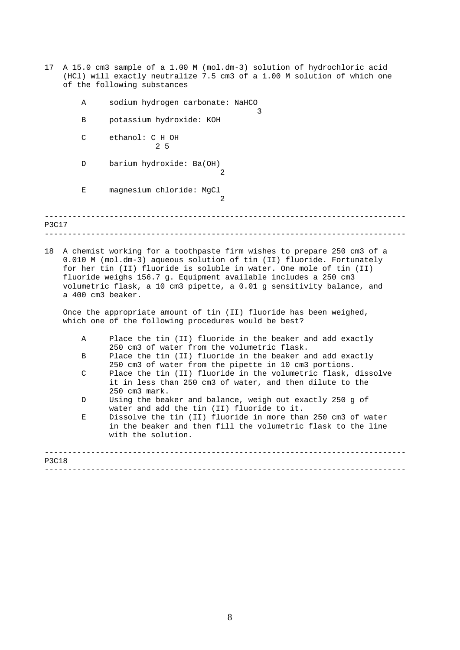17 A 15.0 cm3 sample of a 1.00 M (mol.dm-3) solution of hydrochloric acid (HCl) will exactly neutralize 7.5 cm3 of a 1.00 M solution of which one of the following substances

3

- A sodium hydrogen carbonate: NaHCO
- B potassium hydroxide: KOH
- C ethanol: C H OH 2 5
- D barium hydroxide: Ba(OH)  $\Omega$
- E magnesium chloride: MgCl

------------------------------------------------------------------------------ ------------------------------------------------------------------------------ P3C17

2

18 A chemist working for a toothpaste firm wishes to prepare 250 cm3 of a 0.010 M (mol.dm-3) aqueous solution of tin (II) fluoride. Fortunately for her tin (II) fluoride is soluble in water. One mole of tin (II) fluoride weighs 156.7 g. Equipment available includes a 250 cm3 volumetric flask, a 10 cm3 pipette, a 0.01 g sensitivity balance, and a 400 cm3 beaker.

Once the appropriate amount of tin (II) fluoride has been weighed, which one of the following procedures would be best?

- A Place the tin (II) fluoride in the beaker and add exactly 250 cm3 of water from the volumetric flask.
- B Place the tin (II) fluoride in the beaker and add exactly 250 cm3 of water from the pipette in 10 cm3 portions.
- C Place the tin (II) fluoride in the volumetric flask, dissolve it in less than 250 cm3 of water, and then dilute to the 250 cm3 mark.
- D Using the beaker and balance, weigh out exactly 250 g of water and add the tin (II) fluoride to it.
- E Dissolve the tin (II) fluoride in more than 250 cm3 of water in the beaker and then fill the volumetric flask to the line with the solution.

| <b>P3C18</b> |  |
|--------------|--|
|              |  |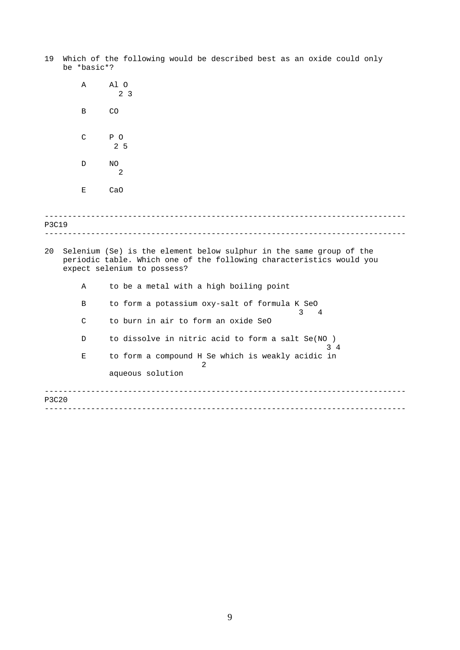- 19 Which of the following would be described best as an oxide could only be \*basic\*?
- ------------------------------------------------------------------------------ ------------------------------------------------------------------------------ ------------------------------------------------------------------------------ ------------------------------------------------------------------------------ A Al O 2 3 B CO C P O 2 5 D NO 2 E CaO P3C19 20 Selenium (Se) is the element below sulphur in the same group of the periodic table. Which one of the following characteristics would you expect selenium to possess? A to be a metal with a high boiling point B to form a potassium oxy-salt of formula K SeO 3 4 C to burn in air to form an oxide SeO D to dissolve in nitric acid to form a salt Se(NO) 3 4 E to form a compound H Se which is weakly acidic in 2 aqueous solution P3C20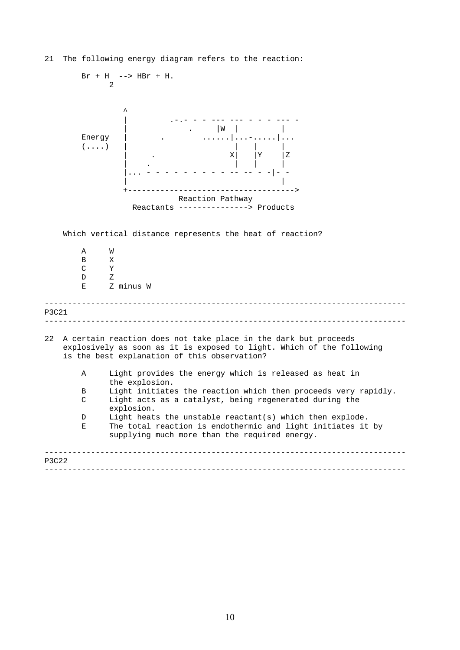

21 The following energy diagram refers to the reaction: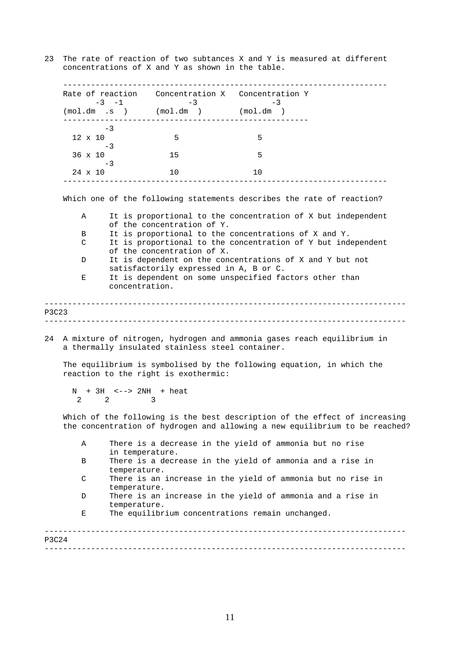23 The rate of reaction of two subtances X and Y is measured at different concentrations of X and Y as shown in the table.

| Α                 | in temperature.                                                                                                                                              |                                                                        |      | There is a decrease in the yield of ammonia but no rise                     |  |  |  |  |
|-------------------|--------------------------------------------------------------------------------------------------------------------------------------------------------------|------------------------------------------------------------------------|------|-----------------------------------------------------------------------------|--|--|--|--|
|                   |                                                                                                                                                              |                                                                        |      |                                                                             |  |  |  |  |
|                   |                                                                                                                                                              |                                                                        |      | the concentration of hydrogen and allowing a new equilibrium to be reached? |  |  |  |  |
|                   |                                                                                                                                                              |                                                                        |      | Which of the following is the best description of the effect of increasing  |  |  |  |  |
|                   | $2\qquad 2$                                                                                                                                                  | 3                                                                      |      |                                                                             |  |  |  |  |
|                   |                                                                                                                                                              | $N + 3H$ <--> $2NH$ + heat                                             |      |                                                                             |  |  |  |  |
|                   |                                                                                                                                                              | reaction to the right is exothermic:                                   |      |                                                                             |  |  |  |  |
|                   |                                                                                                                                                              |                                                                        |      | The equilibrium is symbolised by the following equation, in which the       |  |  |  |  |
|                   |                                                                                                                                                              | a thermally insulated stainless steel container.                       |      | A mixture of nitrogen, hydrogen and ammonia gases reach equilibrium in      |  |  |  |  |
|                   |                                                                                                                                                              |                                                                        |      |                                                                             |  |  |  |  |
| <b>P3C23</b>      |                                                                                                                                                              |                                                                        |      |                                                                             |  |  |  |  |
|                   | concentration.                                                                                                                                               |                                                                        |      |                                                                             |  |  |  |  |
| Е                 | It is dependent on the concentrations of X and Y but not<br>satisfactorily expressed in A, B or C.<br>It is dependent on some unspecified factors other than |                                                                        |      |                                                                             |  |  |  |  |
| D                 |                                                                                                                                                              |                                                                        |      |                                                                             |  |  |  |  |
|                   | It is proportional to the concentrations of X and Y.<br>It is proportional to the concentration of Y but independent<br>of the concentration of X.           |                                                                        |      |                                                                             |  |  |  |  |
| В<br>$\mathsf{C}$ |                                                                                                                                                              |                                                                        |      |                                                                             |  |  |  |  |
|                   | It is proportional to the concentration of X but independent<br>of the concentration of Y.                                                                   |                                                                        |      |                                                                             |  |  |  |  |
| Α                 |                                                                                                                                                              |                                                                        |      |                                                                             |  |  |  |  |
|                   |                                                                                                                                                              |                                                                        |      | Which one of the following statements describes the rate of reaction?       |  |  |  |  |
|                   |                                                                                                                                                              | ---------------------------------                                      |      | -----------------------------------                                         |  |  |  |  |
| 24 x 10           | $-3$                                                                                                                                                         | 10                                                                     | 10   |                                                                             |  |  |  |  |
| 36 x 10           | -3                                                                                                                                                           | 15                                                                     | 5    |                                                                             |  |  |  |  |
| $12 \times 10$    |                                                                                                                                                              | 5                                                                      | 5    |                                                                             |  |  |  |  |
|                   | $-3$                                                                                                                                                         |                                                                        |      |                                                                             |  |  |  |  |
|                   | $-3 -1$                                                                                                                                                      | $-3$<br>$(\text{mol.dim s})$ $(\text{mol.dim s})$ $(\text{mol.dim s})$ | $-3$ |                                                                             |  |  |  |  |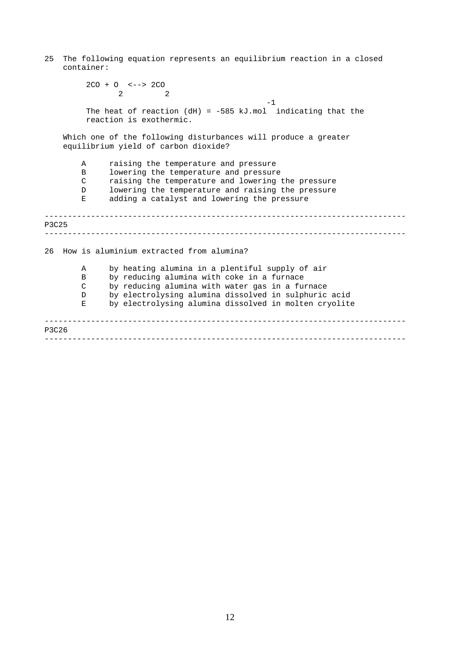25 The following equation represents an equilibrium reaction in a closed container:

```
------------------------------------------------------------------------------ 
------------------------------------------------------------------------------ 
     ------------------------------------------------------------------------------ 
     ------------------------------------------------------------------------------ 
        2CO + O <--> 2CO 
              2 2 
                                               -1The heat of reaction (dH) = -585 kJ.mol indicating that the
        reaction is exothermic. 
   Which one of the following disturbances will produce a greater
   equilibrium yield of carbon dioxide? 
       A raising the temperature and pressure
       B lowering the temperature and pressure
       C raising the temperature and lowering the pressure
       D lowering the temperature and raising the pressure
       E adding a catalyst and lowering the pressure 
P3C25 
26 How is aluminium extracted from alumina? 
       A by heating alumina in a plentiful supply of air
       B by reducing alumina with coke in a furnace
       C by reducing alumina with water gas in a furnace
       D by electrolysing alumina dissolved in sulphuric acid
       E by electrolysing alumina dissolved in molten cryolite 
P3C26
```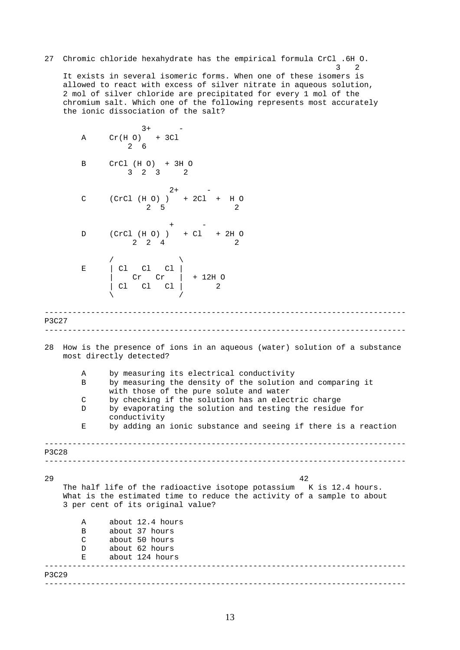------------------------------------------------------------------------------ ------------------------------------------------------------------------------ ------------------------------------------------------------------------------ ------------------------------------------------------------------------------ ------------------------------------------------------------------------------ ------------------------------------------------------------------------------ 27 Chromic chloride hexahydrate has the empirical formula CrCl .6H O. 3 2 It exists in several isomeric forms. When one of these isomers is allowed to react with excess of silver nitrate in aqueous solution, 2 mol of silver chloride are precipitated for every 1 mol of the chromium salt. Which one of the following represents most accurately the ionic dissociation of the salt?  $3+$  $A$  Cr(H O) + 3Cl 2 6 B CrCl (H O) + 3H O 3 2 3 2  $2+$ C (CrCl (H O) ) + 2Cl + H O 2 5 2  $+$  -  $-$ D (CrCl (H O) ) + Cl + 2H O  $2 \t 2 \t 4$ /  $\qquad \qquad \setminus$  $E$  | Cl Cl Cl | | Cr Cr | + 12H O | Cl Cl Cl | 2  $\sqrt{2}$ P3C27 28 How is the presence of ions in an aqueous (water) solution of a substance most directly detected? A by measuring its electrical conductivity B by measuring the density of the solution and comparing it with those of the pure solute and water C by checking if the solution has an electric charge D by evaporating the solution and testing the residue for conductivity E by adding an ionic substance and seeing if there is a reaction P3C28 29 42 The half life of the radioactive isotope potassium K is 12.4 hours. What is the estimated time to reduce the activity of a sample to about 3 per cent of its original value? A about 12.4 hours B about 37 hours C about 50 hours D about 62 hours<br>E about 124 hours about 124 hours P3C29